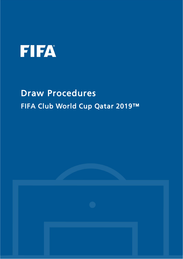

# Draw Procedures FIFA Club World Cup Qatar 2019™

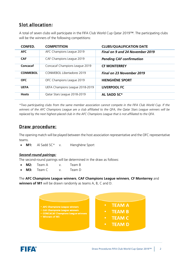## Slot allocation:

A total of seven clubs will participate in the FIFA Club World Cup Qatar 2019™. The participating clubs will be the winners of the following competitions:

| <b>CONFED.</b>  | <b>COMPETITION</b>              | <b>CLUBS/QUALIFICATION DATE</b>  |
|-----------------|---------------------------------|----------------------------------|
| <b>AFC</b>      | AFC Champions League 2019       | Final on 9 and 24 November 2019  |
| <b>CAF</b>      | CAF Champions League 2019       | <b>Pending CAF confirmation</b>  |
| Concacaf        | Concacaf Champions League 2019  | <b>CF MONTERREY</b>              |
| <b>CONMEBOL</b> | CONMEROL Libertadores 2019      | <b>Final on 23 November 2019</b> |
| <b>OFC</b>      | OFC Champions League 2019       | <b>HIENGHÈNE SPORT</b>           |
| <b>UEFA</b>     | UEFA Champions League 2018-2019 | LIVERPOOL FC                     |
| <b>Hosts</b>    | Qatar Stars League 2018-2019    | AL SADD SC*                      |

*\*Two participating clubs from the same member association cannot compete in the FIFA Club World Cup. If the winners of the AFC Champions League are a club affiliated to the QFA, the Qatar Stars League winners will be replaced by the next highest-placed club in the AFC Champions League that is not affiliated to the QFA.*

## Draw procedure:

The opening match will be played between the host association representative and the OFC representative teams.

**M1:** Al Sadd SC\* v. Hienghène Sport

#### *Second-round pairings:*

The second-round pairings will be determined in the draw as follows:

- **M2:** Team A v. Team B
- **M3:** Team C v. Team D

The **AFC Champions League winners**, **CAF Champions League winners**, **CF Monterrey** and **winners of M1** will be drawn randomly as teams A, B, C and D.